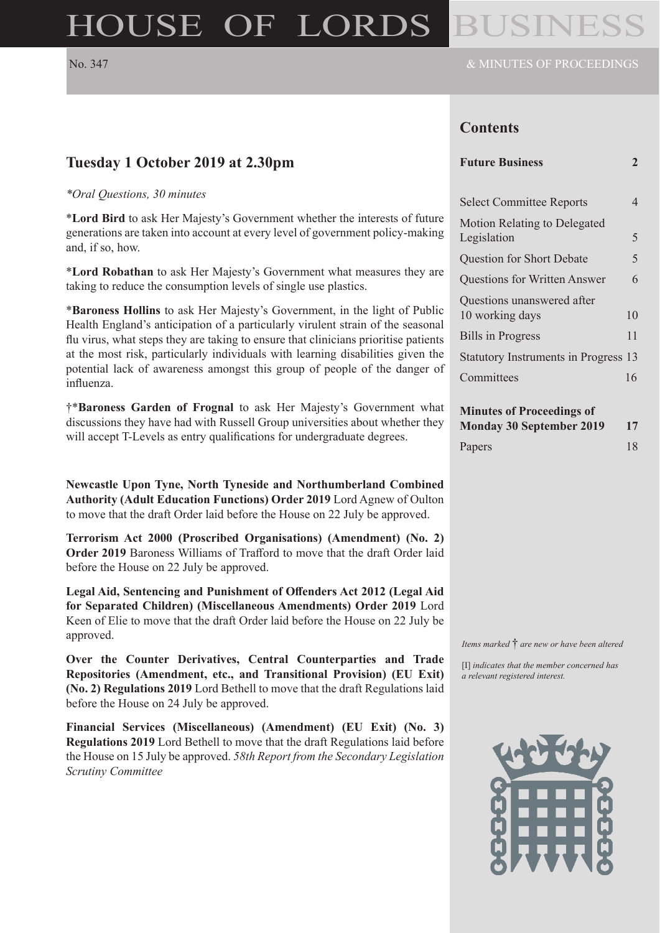# HOUSE OF LORDS

### **Contents**

#### **Future Business 2**

| <b>Select Committee Reports</b>               |    |
|-----------------------------------------------|----|
| Motion Relating to Delegated<br>Legislation   | 5  |
| <b>Question for Short Debate</b>              | 5  |
| <b>Questions for Written Answer</b>           | 6  |
| Questions unanswered after<br>10 working days | 10 |
| <b>Bills in Progress</b>                      | 11 |
| Statutory Instruments in Progress 13          |    |
| Committees                                    | 16 |

| <b>Minutes of Proceedings of</b> |    |
|----------------------------------|----|
| <b>Monday 30 September 2019</b>  | 17 |

|        | $\cdots$ |    |
|--------|----------|----|
| Papers |          | 18 |

### **Tuesday 1 October 2019 at 2.30pm**

#### *\*Oral Questions, 30 minutes*

\***Lord Bird** to ask Her Majesty's Government whether the interests of future generations are taken into account at every level of government policy-making and, if so, how.

\***Lord Robathan** to ask Her Majesty's Government what measures they are taking to reduce the consumption levels of single use plastics.

\***Baroness Hollins** to ask Her Majesty's Government, in the light of Public Health England's anticipation of a particularly virulent strain of the seasonal flu virus, what steps they are taking to ensure that clinicians prioritise patients at the most risk, particularly individuals with learning disabilities given the potential lack of awareness amongst this group of people of the danger of influenza.

†\***Baroness Garden of Frognal** to ask Her Majesty's Government what discussions they have had with Russell Group universities about whether they will accept T-Levels as entry qualifications for undergraduate degrees.

**Newcastle Upon Tyne, North Tyneside and Northumberland Combined Authority (Adult Education Functions) Order 2019** Lord Agnew of Oulton to move that the draft Order laid before the House on 22 July be approved.

**Terrorism Act 2000 (Proscribed Organisations) (Amendment) (No. 2) Order 2019** Baroness Williams of Trafford to move that the draft Order laid before the House on 22 July be approved.

**Legal Aid, Sentencing and Punishment of Offenders Act 2012 (Legal Aid for Separated Children) (Miscellaneous Amendments) Order 2019** Lord Keen of Elie to move that the draft Order laid before the House on 22 July be approved.

**Over the Counter Derivatives, Central Counterparties and Trade Repositories (Amendment, etc., and Transitional Provision) (EU Exit) (No. 2) Regulations 2019** Lord Bethell to move that the draft Regulations laid before the House on 24 July be approved.

**Financial Services (Miscellaneous) (Amendment) (EU Exit) (No. 3) Regulations 2019** Lord Bethell to move that the draft Regulations laid before the House on 15 July be approved. *58th Report from the Secondary Legislation Scrutiny Committee*

*Items marked* † *are new or have been altered*

[I] *indicates that the member concerned has a relevant registered interest.*

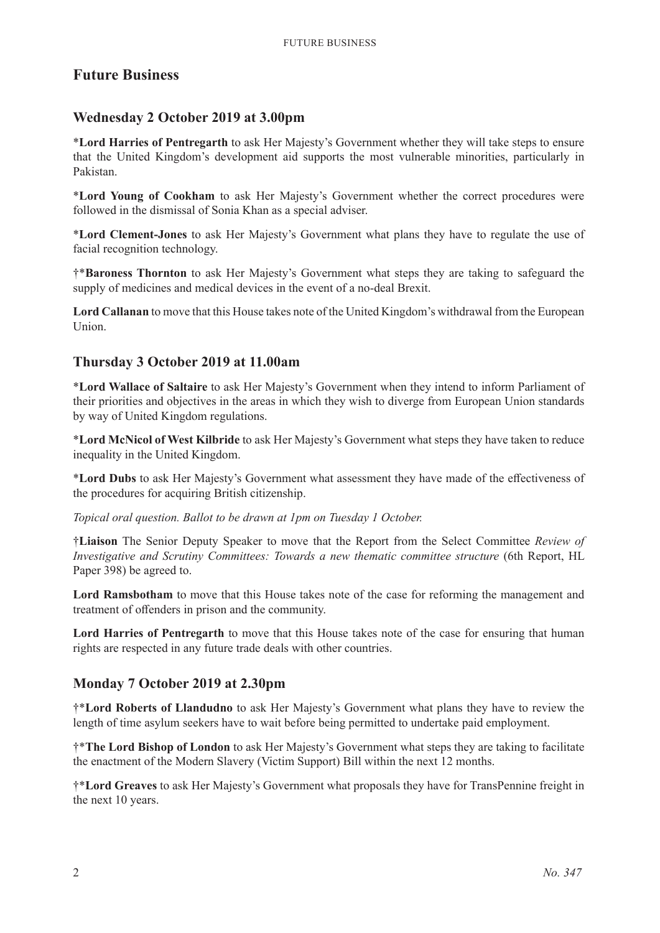### **Future Business**

### **Wednesday 2 October 2019 at 3.00pm**

\***Lord Harries of Pentregarth** to ask Her Majesty's Government whether they will take steps to ensure that the United Kingdom's development aid supports the most vulnerable minorities, particularly in Pakistan.

\***Lord Young of Cookham** to ask Her Majesty's Government whether the correct procedures were followed in the dismissal of Sonia Khan as a special adviser.

\***Lord Clement-Jones** to ask Her Majesty's Government what plans they have to regulate the use of facial recognition technology.

†\***Baroness Thornton** to ask Her Majesty's Government what steps they are taking to safeguard the supply of medicines and medical devices in the event of a no-deal Brexit.

**Lord Callanan** to move that this House takes note of the United Kingdom's withdrawal from the European Union.

### **Thursday 3 October 2019 at 11.00am**

\***Lord Wallace of Saltaire** to ask Her Majesty's Government when they intend to inform Parliament of their priorities and objectives in the areas in which they wish to diverge from European Union standards by way of United Kingdom regulations.

\***Lord McNicol of West Kilbride** to ask Her Majesty's Government what steps they have taken to reduce inequality in the United Kingdom.

\***Lord Dubs** to ask Her Majesty's Government what assessment they have made of the effectiveness of the procedures for acquiring British citizenship.

*Topical oral question. Ballot to be drawn at 1pm on Tuesday 1 October.*

†**Liaison** The Senior Deputy Speaker to move that the Report from the Select Committee *Review of Investigative and Scrutiny Committees: Towards a new thematic committee structure* (6th Report, HL Paper 398) be agreed to.

**Lord Ramsbotham** to move that this House takes note of the case for reforming the management and treatment of offenders in prison and the community.

**Lord Harries of Pentregarth** to move that this House takes note of the case for ensuring that human rights are respected in any future trade deals with other countries.

### **Monday 7 October 2019 at 2.30pm**

†\***Lord Roberts of Llandudno** to ask Her Majesty's Government what plans they have to review the length of time asylum seekers have to wait before being permitted to undertake paid employment.

†\***The Lord Bishop of London** to ask Her Majesty's Government what steps they are taking to facilitate the enactment of the Modern Slavery (Victim Support) Bill within the next 12 months.

†\***Lord Greaves** to ask Her Majesty's Government what proposals they have for TransPennine freight in the next 10 years.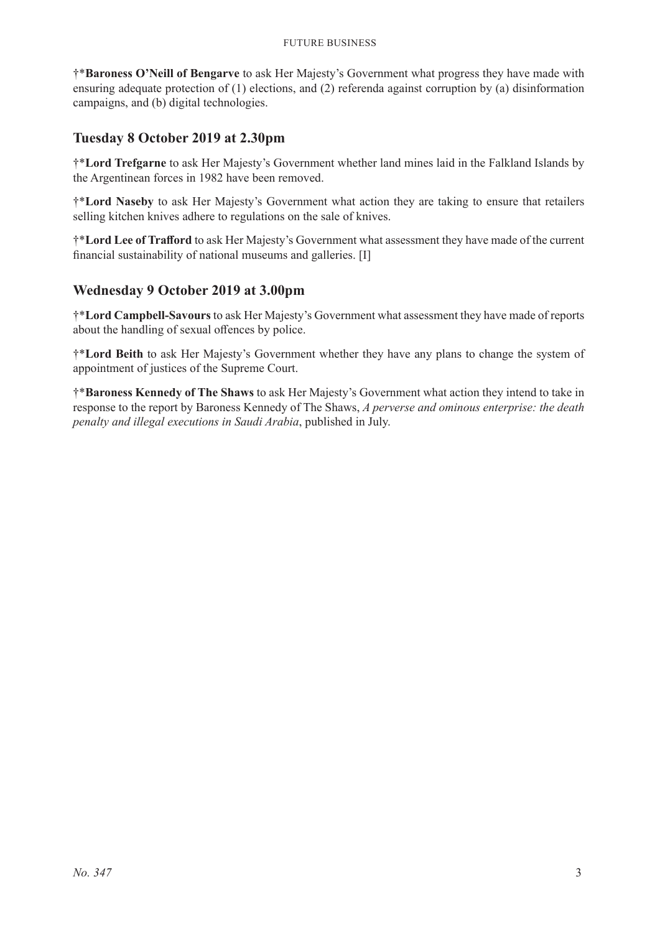†\***Baroness O'Neill of Bengarve** to ask Her Majesty's Government what progress they have made with ensuring adequate protection of (1) elections, and (2) referenda against corruption by (a) disinformation campaigns, and (b) digital technologies.

### **Tuesday 8 October 2019 at 2.30pm**

†\***Lord Trefgarne** to ask Her Majesty's Government whether land mines laid in the Falkland Islands by the Argentinean forces in 1982 have been removed.

†\***Lord Naseby** to ask Her Majesty's Government what action they are taking to ensure that retailers selling kitchen knives adhere to regulations on the sale of knives.

†\***Lord Lee of Trafford** to ask Her Majesty's Government what assessment they have made of the current financial sustainability of national museums and galleries. [I]

### **Wednesday 9 October 2019 at 3.00pm**

†\***Lord Campbell-Savours** to ask Her Majesty's Government what assessment they have made of reports about the handling of sexual offences by police.

†\***Lord Beith** to ask Her Majesty's Government whether they have any plans to change the system of appointment of justices of the Supreme Court.

†\***Baroness Kennedy of The Shaws** to ask Her Majesty's Government what action they intend to take in response to the report by Baroness Kennedy of The Shaws, *A perverse and ominous enterprise: the death penalty and illegal executions in Saudi Arabia*, published in July.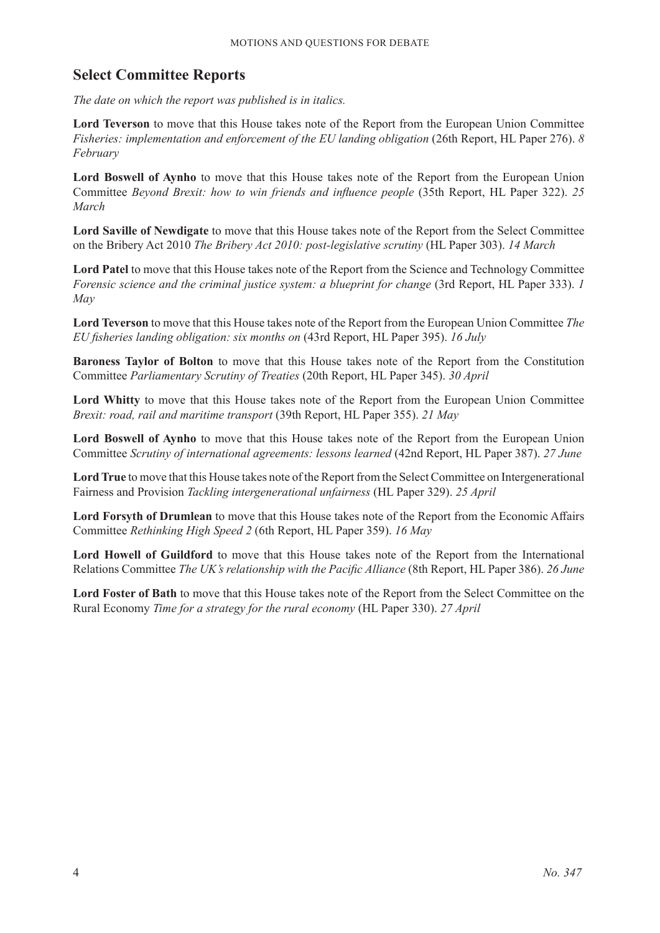### **Select Committee Reports**

*The date on which the report was published is in italics.*

**Lord Teverson** to move that this House takes note of the Report from the European Union Committee *Fisheries: implementation and enforcement of the EU landing obligation* (26th Report, HL Paper 276). *8 February*

**Lord Boswell of Aynho** to move that this House takes note of the Report from the European Union Committee *Beyond Brexit: how to win friends and influence people* (35th Report, HL Paper 322). *25 March*

**Lord Saville of Newdigate** to move that this House takes note of the Report from the Select Committee on the Bribery Act 2010 *The Bribery Act 2010: post-legislative scrutiny* (HL Paper 303). *14 March*

**Lord Patel** to move that this House takes note of the Report from the Science and Technology Committee *Forensic science and the criminal justice system: a blueprint for change* (3rd Report, HL Paper 333). *1 May*

**Lord Teverson** to move that this House takes note of the Report from the European Union Committee *The EU fisheries landing obligation: six months on* (43rd Report, HL Paper 395). *16 July*

**Baroness Taylor of Bolton** to move that this House takes note of the Report from the Constitution Committee *Parliamentary Scrutiny of Treaties* (20th Report, HL Paper 345). *30 April*

**Lord Whitty** to move that this House takes note of the Report from the European Union Committee *Brexit: road, rail and maritime transport* (39th Report, HL Paper 355). *21 May*

**Lord Boswell of Aynho** to move that this House takes note of the Report from the European Union Committee *Scrutiny of international agreements: lessons learned* (42nd Report, HL Paper 387). *27 June*

**Lord True** to move that this House takes note of the Report from the Select Committee on Intergenerational Fairness and Provision *Tackling intergenerational unfairness* (HL Paper 329). *25 April*

**Lord Forsyth of Drumlean** to move that this House takes note of the Report from the Economic Affairs Committee *Rethinking High Speed 2* (6th Report, HL Paper 359). *16 May*

**Lord Howell of Guildford** to move that this House takes note of the Report from the International Relations Committee *The UK's relationship with the Pacific Alliance* (8th Report, HL Paper 386). *26 June*

**Lord Foster of Bath** to move that this House takes note of the Report from the Select Committee on the Rural Economy *Time for a strategy for the rural economy* (HL Paper 330). *27 April*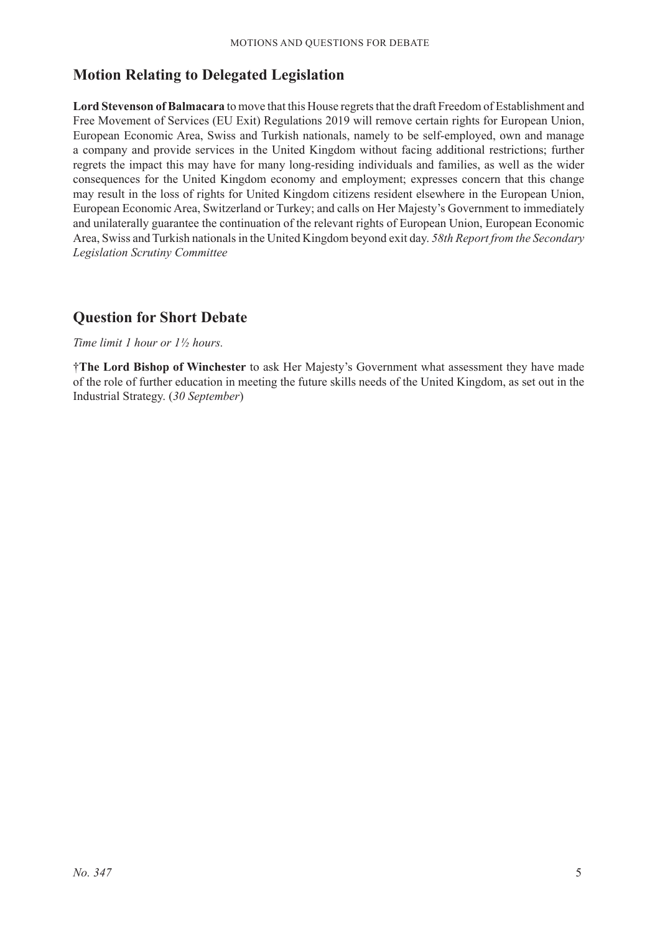### **Motion Relating to Delegated Legislation**

**Lord Stevenson of Balmacara** to move that this House regrets that the draft Freedom of Establishment and Free Movement of Services (EU Exit) Regulations 2019 will remove certain rights for European Union, European Economic Area, Swiss and Turkish nationals, namely to be self-employed, own and manage a company and provide services in the United Kingdom without facing additional restrictions; further regrets the impact this may have for many long-residing individuals and families, as well as the wider consequences for the United Kingdom economy and employment; expresses concern that this change may result in the loss of rights for United Kingdom citizens resident elsewhere in the European Union, European Economic Area, Switzerland or Turkey; and calls on Her Majesty's Government to immediately and unilaterally guarantee the continuation of the relevant rights of European Union, European Economic Area, Swiss and Turkish nationals in the United Kingdom beyond exit day. *58th Report from the Secondary Legislation Scrutiny Committee*

### **Question for Short Debate**

#### *Time limit 1 hour or 1½ hours.*

†**The Lord Bishop of Winchester** to ask Her Majesty's Government what assessment they have made of the role of further education in meeting the future skills needs of the United Kingdom, as set out in the Industrial Strategy. (*30 September*)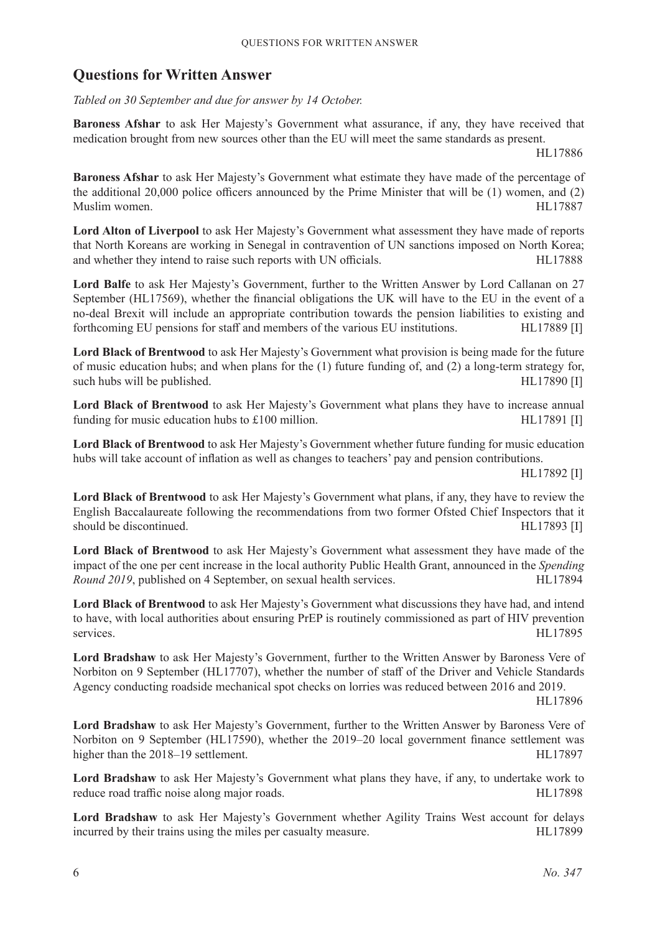### **Questions for Written Answer**

*Tabled on 30 September and due for answer by 14 October.*

**Baroness Afshar** to ask Her Majesty's Government what assurance, if any, they have received that medication brought from new sources other than the EU will meet the same standards as present.

HL17886

**Baroness Afshar** to ask Her Majesty's Government what estimate they have made of the percentage of the additional 20,000 police officers announced by the Prime Minister that will be (1) women, and (2) Muslim women. HL17887

**Lord Alton of Liverpool** to ask Her Majesty's Government what assessment they have made of reports that North Koreans are working in Senegal in contravention of UN sanctions imposed on North Korea; and whether they intend to raise such reports with UN officials. HL17888

**Lord Balfe** to ask Her Majesty's Government, further to the Written Answer by Lord Callanan on 27 September (HL17569), whether the financial obligations the UK will have to the EU in the event of a no-deal Brexit will include an appropriate contribution towards the pension liabilities to existing and forthcoming EU pensions for staff and members of the various EU institutions. HL17889 [I]

**Lord Black of Brentwood** to ask Her Majesty's Government what provision is being made for the future of music education hubs; and when plans for the (1) future funding of, and (2) a long-term strategy for, such hubs will be published. HL17890 [I]

**Lord Black of Brentwood** to ask Her Majesty's Government what plans they have to increase annual funding for music education hubs to £100 million. HL17891 [I]

**Lord Black of Brentwood** to ask Her Majesty's Government whether future funding for music education hubs will take account of inflation as well as changes to teachers' pay and pension contributions.

HL17892 [I]

**Lord Black of Brentwood** to ask Her Majesty's Government what plans, if any, they have to review the English Baccalaureate following the recommendations from two former Ofsted Chief Inspectors that it should be discontinued. The discontinued.

**Lord Black of Brentwood** to ask Her Majesty's Government what assessment they have made of the impact of the one per cent increase in the local authority Public Health Grant, announced in the *Spending Round 2019*, published on 4 September, on sexual health services. HL17894

**Lord Black of Brentwood** to ask Her Majesty's Government what discussions they have had, and intend to have, with local authorities about ensuring PrEP is routinely commissioned as part of HIV prevention services. HL17895

**Lord Bradshaw** to ask Her Majesty's Government, further to the Written Answer by Baroness Vere of Norbiton on 9 September (HL17707), whether the number of staff of the Driver and Vehicle Standards Agency conducting roadside mechanical spot checks on lorries was reduced between 2016 and 2019.

HL17896

**Lord Bradshaw** to ask Her Majesty's Government, further to the Written Answer by Baroness Vere of Norbiton on 9 September (HL17590), whether the 2019–20 local government finance settlement was higher than the 2018–19 settlement. HL17897

**Lord Bradshaw** to ask Her Majesty's Government what plans they have, if any, to undertake work to reduce road traffic noise along major roads. HL17898

**Lord Bradshaw** to ask Her Majesty's Government whether Agility Trains West account for delays incurred by their trains using the miles per casualty measure. HL17899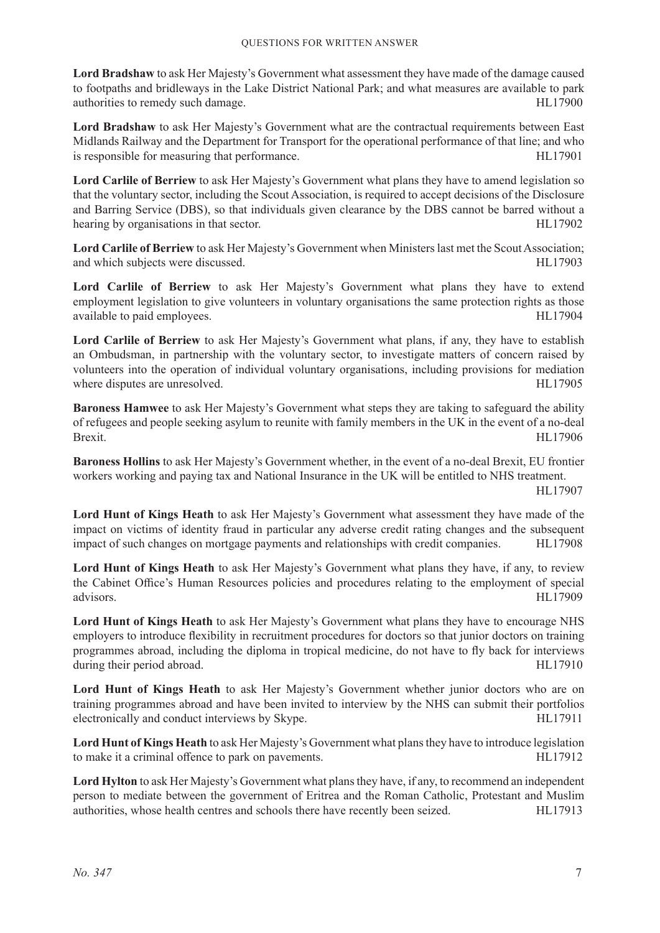**Lord Bradshaw** to ask Her Majesty's Government what assessment they have made of the damage caused to footpaths and bridleways in the Lake District National Park; and what measures are available to park authorities to remedy such damage. HL17900

**Lord Bradshaw** to ask Her Majesty's Government what are the contractual requirements between East Midlands Railway and the Department for Transport for the operational performance of that line; and who is responsible for measuring that performance. HL17901

**Lord Carlile of Berriew** to ask Her Majesty's Government what plans they have to amend legislation so that the voluntary sector, including the Scout Association, is required to accept decisions of the Disclosure and Barring Service (DBS), so that individuals given clearance by the DBS cannot be barred without a hearing by organisations in that sector. HL17902

**Lord Carlile of Berriew** to ask Her Majesty's Government when Ministers last met the Scout Association; and which subjects were discussed. HL17903

**Lord Carlile of Berriew** to ask Her Majesty's Government what plans they have to extend employment legislation to give volunteers in voluntary organisations the same protection rights as those available to paid employees. HL17904

**Lord Carlile of Berriew** to ask Her Majesty's Government what plans, if any, they have to establish an Ombudsman, in partnership with the voluntary sector, to investigate matters of concern raised by volunteers into the operation of individual voluntary organisations, including provisions for mediation where disputes are unresolved. HL17905

**Baroness Hamwee** to ask Her Majesty's Government what steps they are taking to safeguard the ability of refugees and people seeking asylum to reunite with family members in the UK in the event of a no-deal Brexit. HL17906

**Baroness Hollins** to ask Her Majesty's Government whether, in the event of a no-deal Brexit, EU frontier workers working and paying tax and National Insurance in the UK will be entitled to NHS treatment.

HL17907

**Lord Hunt of Kings Heath** to ask Her Majesty's Government what assessment they have made of the impact on victims of identity fraud in particular any adverse credit rating changes and the subsequent impact of such changes on mortgage payments and relationships with credit companies. HL17908

**Lord Hunt of Kings Heath** to ask Her Majesty's Government what plans they have, if any, to review the Cabinet Office's Human Resources policies and procedures relating to the employment of special advisors. HL17909

**Lord Hunt of Kings Heath** to ask Her Majesty's Government what plans they have to encourage NHS employers to introduce flexibility in recruitment procedures for doctors so that junior doctors on training programmes abroad, including the diploma in tropical medicine, do not have to fly back for interviews during their period abroad. HL17910

Lord Hunt of Kings Heath to ask Her Majesty's Government whether junior doctors who are on training programmes abroad and have been invited to interview by the NHS can submit their portfolios electronically and conduct interviews by Skype. HL17911

**Lord Hunt of Kings Heath** to ask Her Majesty's Government what plans they have to introduce legislation to make it a criminal offence to park on pavements. HL17912

**Lord Hylton** to ask Her Majesty's Government what plans they have, if any, to recommend an independent person to mediate between the government of Eritrea and the Roman Catholic, Protestant and Muslim authorities, whose health centres and schools there have recently been seized. HL17913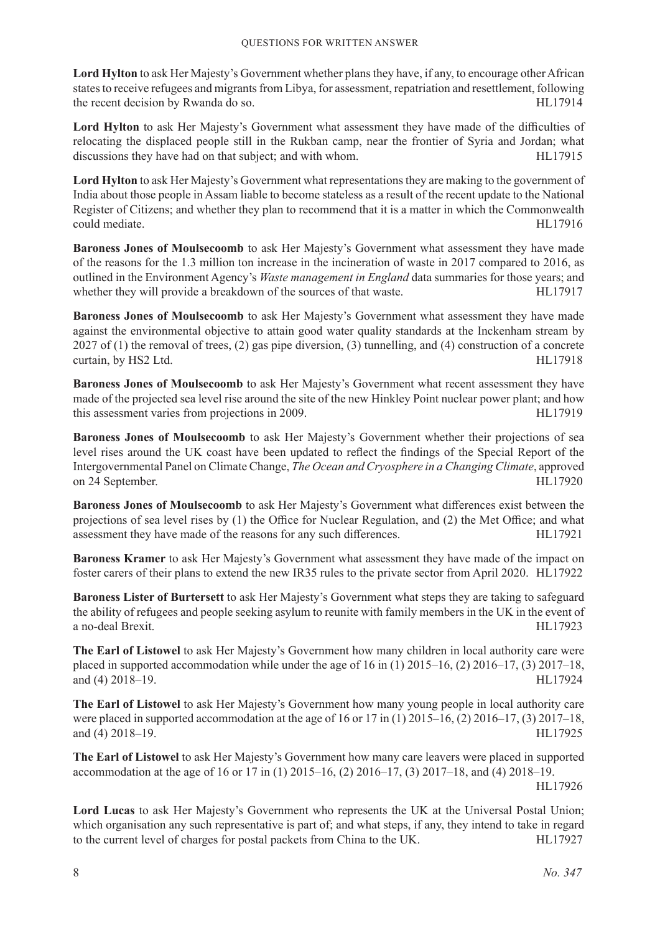**Lord Hylton** to ask Her Majesty's Government whether plans they have, if any, to encourage other African states to receive refugees and migrants from Libya, for assessment, repatriation and resettlement, following the recent decision by Rwanda do so. HL17914

Lord Hylton to ask Her Majesty's Government what assessment they have made of the difficulties of relocating the displaced people still in the Rukban camp, near the frontier of Syria and Jordan; what discussions they have had on that subject; and with whom. HL17915

**Lord Hylton** to ask Her Majesty's Government what representations they are making to the government of India about those people in Assam liable to become stateless as a result of the recent update to the National Register of Citizens; and whether they plan to recommend that it is a matter in which the Commonwealth could mediate. HL17916

**Baroness Jones of Moulsecoomb** to ask Her Majesty's Government what assessment they have made of the reasons for the 1.3 million ton increase in the incineration of waste in 2017 compared to 2016, as outlined in the Environment Agency's *Waste management in England* data summaries for those years; and whether they will provide a breakdown of the sources of that waste. HL17917

**Baroness Jones of Moulsecoomb** to ask Her Majesty's Government what assessment they have made against the environmental objective to attain good water quality standards at the Inckenham stream by 2027 of (1) the removal of trees, (2) gas pipe diversion, (3) tunnelling, and (4) construction of a concrete curtain, by HS2 Ltd. HL17918

**Baroness Jones of Moulsecoomb** to ask Her Majesty's Government what recent assessment they have made of the projected sea level rise around the site of the new Hinkley Point nuclear power plant; and how this assessment varies from projections in 2009. HL17919

**Baroness Jones of Moulsecoomb** to ask Her Majesty's Government whether their projections of sea level rises around the UK coast have been updated to reflect the findings of the Special Report of the Intergovernmental Panel on Climate Change, *The Ocean and Cryosphere in a Changing Climate*, approved on 24 September. HL17920

**Baroness Jones of Moulsecoomb** to ask Her Majesty's Government what differences exist between the projections of sea level rises by (1) the Office for Nuclear Regulation, and (2) the Met Office; and what assessment they have made of the reasons for any such differences. HL17921

**Baroness Kramer** to ask Her Majesty's Government what assessment they have made of the impact on foster carers of their plans to extend the new IR35 rules to the private sector from April 2020. HL17922

**Baroness Lister of Burtersett** to ask Her Majesty's Government what steps they are taking to safeguard the ability of refugees and people seeking asylum to reunite with family members in the UK in the event of a no-deal Brexit. HL17923

**The Earl of Listowel** to ask Her Majesty's Government how many children in local authority care were placed in supported accommodation while under the age of 16 in (1) 2015–16, (2) 2016–17, (3) 2017–18, and (4) 2018–19. HL17924

**The Earl of Listowel** to ask Her Majesty's Government how many young people in local authority care were placed in supported accommodation at the age of 16 or 17 in (1) 2015–16, (2) 2016–17, (3) 2017–18, and (4) 2018–19. HL17925

**The Earl of Listowel** to ask Her Majesty's Government how many care leavers were placed in supported accommodation at the age of 16 or 17 in (1) 2015–16, (2) 2016–17, (3) 2017–18, and (4) 2018–19.

HL17926

**Lord Lucas** to ask Her Majesty's Government who represents the UK at the Universal Postal Union; which organisation any such representative is part of; and what steps, if any, they intend to take in regard to the current level of charges for postal packets from China to the UK. HL17927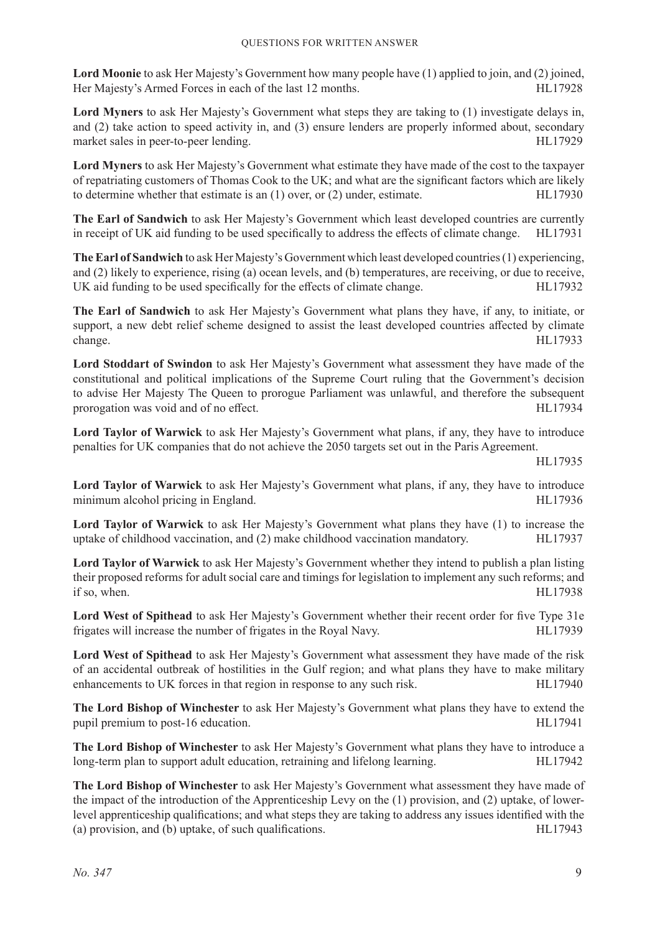**Lord Moonie** to ask Her Majesty's Government how many people have (1) applied to join, and (2) joined, Her Majesty's Armed Forces in each of the last 12 months. HL17928

**Lord Myners** to ask Her Majesty's Government what steps they are taking to (1) investigate delays in, and (2) take action to speed activity in, and (3) ensure lenders are properly informed about, secondary market sales in peer-to-peer lending. HL17929

**Lord Myners** to ask Her Majesty's Government what estimate they have made of the cost to the taxpayer of repatriating customers of Thomas Cook to the UK; and what are the significant factors which are likely to determine whether that estimate is an (1) over, or (2) under, estimate. HL17930

**The Earl of Sandwich** to ask Her Majesty's Government which least developed countries are currently in receipt of UK aid funding to be used specifically to address the effects of climate change. HL17931

**The Earl of Sandwich** to ask Her Majesty's Government which least developed countries (1) experiencing, and (2) likely to experience, rising (a) ocean levels, and (b) temperatures, are receiving, or due to receive, UK aid funding to be used specifically for the effects of climate change. HL17932

**The Earl of Sandwich** to ask Her Majesty's Government what plans they have, if any, to initiate, or support, a new debt relief scheme designed to assist the least developed countries affected by climate change. HL17933

**Lord Stoddart of Swindon** to ask Her Majesty's Government what assessment they have made of the constitutional and political implications of the Supreme Court ruling that the Government's decision to advise Her Majesty The Queen to prorogue Parliament was unlawful, and therefore the subsequent prorogation was void and of no effect. The state of the state of the HL17934

**Lord Taylor of Warwick** to ask Her Majesty's Government what plans, if any, they have to introduce penalties for UK companies that do not achieve the 2050 targets set out in the Paris Agreement.

HL17935

**Lord Taylor of Warwick** to ask Her Majesty's Government what plans, if any, they have to introduce minimum alcohol pricing in England. HL17936

**Lord Taylor of Warwick** to ask Her Majesty's Government what plans they have (1) to increase the uptake of childhood vaccination, and (2) make childhood vaccination mandatory. HL17937

**Lord Taylor of Warwick** to ask Her Majesty's Government whether they intend to publish a plan listing their proposed reforms for adult social care and timings for legislation to implement any such reforms; and if so, when. HL17938

**Lord West of Spithead** to ask Her Majesty's Government whether their recent order for five Type 31e frigates will increase the number of frigates in the Royal Navy. HL17939

**Lord West of Spithead** to ask Her Majesty's Government what assessment they have made of the risk of an accidental outbreak of hostilities in the Gulf region; and what plans they have to make military enhancements to UK forces in that region in response to any such risk. HL17940

**The Lord Bishop of Winchester** to ask Her Majesty's Government what plans they have to extend the pupil premium to post-16 education. HL17941

**The Lord Bishop of Winchester** to ask Her Majesty's Government what plans they have to introduce a long-term plan to support adult education, retraining and lifelong learning. HL17942

**The Lord Bishop of Winchester** to ask Her Majesty's Government what assessment they have made of the impact of the introduction of the Apprenticeship Levy on the (1) provision, and (2) uptake, of lowerlevel apprenticeship qualifications; and what steps they are taking to address any issues identified with the (a) provision, and (b) uptake, of such qualifications. 
HL17943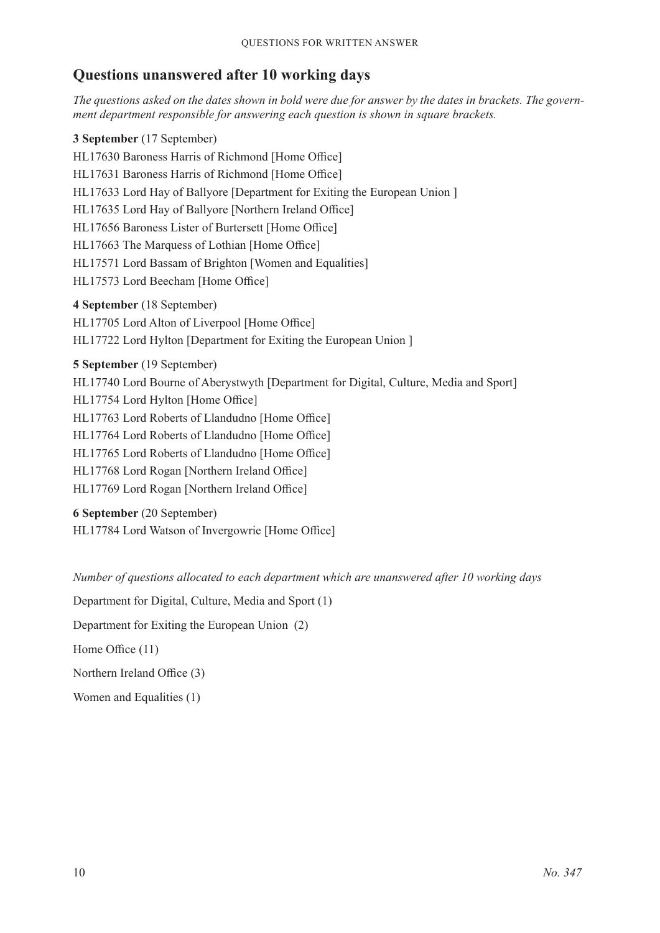### **Questions unanswered after 10 working days**

*The questions asked on the dates shown in bold were due for answer by the dates in brackets. The government department responsible for answering each question is shown in square brackets.*

**3 September** (17 September) HL17630 Baroness Harris of Richmond [Home Office] HL17631 Baroness Harris of Richmond [Home Office] HL17633 Lord Hay of Ballyore [Department for Exiting the European Union ] HL17635 Lord Hay of Ballyore [Northern Ireland Office] HL17656 Baroness Lister of Burtersett [Home Office] HL17663 The Marquess of Lothian [Home Office] HL17571 Lord Bassam of Brighton [Women and Equalities] HL17573 Lord Beecham [Home Office] **4 September** (18 September) HL17705 Lord Alton of Liverpool [Home Office] HL17722 Lord Hylton [Department for Exiting the European Union ] **5 September** (19 September) HL17740 Lord Bourne of Aberystwyth [Department for Digital, Culture, Media and Sport] HL17754 Lord Hylton [Home Office] HL17763 Lord Roberts of Llandudno [Home Office] HL17764 Lord Roberts of Llandudno [Home Office] HL17765 Lord Roberts of Llandudno [Home Office]

HL17768 Lord Rogan [Northern Ireland Office]

HL17769 Lord Rogan [Northern Ireland Office]

**6 September** (20 September) HL17784 Lord Watson of Invergowrie [Home Office]

*Number of questions allocated to each department which are unanswered after 10 working days*

Department for Digital, Culture, Media and Sport (1)

Department for Exiting the European Union (2)

Home Office (11)

Northern Ireland Office (3)

Women and Equalities (1)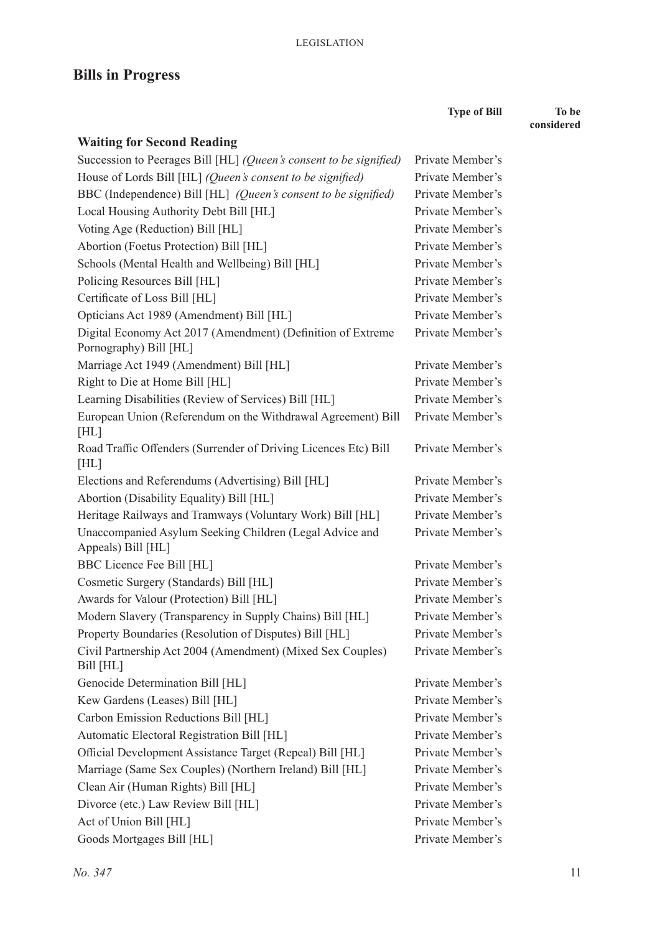## **Bills in Progress**

**Waiting for Second Reading**

**Type of Bill To be considered** Succession to Peerages Bill [HL] *(Queen's consent to be signified)* Private Member's House of Lords Bill [HL] *(Queen's consent to be signified)* Private Member's

| $\frac{1}{2}$ of Evrop Bin $\left[111\right]$ (gaten's consent to be significa)       |                  |
|---------------------------------------------------------------------------------------|------------------|
| BBC (Independence) Bill [HL] (Queen's consent to be signified)                        | Private Member's |
| Local Housing Authority Debt Bill [HL]                                                | Private Member's |
| Voting Age (Reduction) Bill [HL]                                                      | Private Member's |
| Abortion (Foetus Protection) Bill [HL]                                                | Private Member's |
| Schools (Mental Health and Wellbeing) Bill [HL]                                       | Private Member's |
| Policing Resources Bill [HL]                                                          | Private Member's |
| Certificate of Loss Bill [HL]                                                         | Private Member's |
| Opticians Act 1989 (Amendment) Bill [HL]                                              | Private Member's |
| Digital Economy Act 2017 (Amendment) (Definition of Extreme<br>Pornography) Bill [HL] | Private Member's |
| Marriage Act 1949 (Amendment) Bill [HL]                                               | Private Member's |
| Right to Die at Home Bill [HL]                                                        | Private Member's |
| Learning Disabilities (Review of Services) Bill [HL]                                  | Private Member's |
| European Union (Referendum on the Withdrawal Agreement) Bill<br>[HL]                  | Private Member's |
| Road Traffic Offenders (Surrender of Driving Licences Etc) Bill<br>[HL]               | Private Member's |
| Elections and Referendums (Advertising) Bill [HL]                                     | Private Member's |
| Abortion (Disability Equality) Bill [HL]                                              | Private Member's |
| Heritage Railways and Tramways (Voluntary Work) Bill [HL]                             | Private Member's |
| Unaccompanied Asylum Seeking Children (Legal Advice and<br>Appeals) Bill [HL]         | Private Member's |
| BBC Licence Fee Bill [HL]                                                             | Private Member's |
| Cosmetic Surgery (Standards) Bill [HL]                                                | Private Member's |
| Awards for Valour (Protection) Bill [HL]                                              | Private Member's |
| Modern Slavery (Transparency in Supply Chains) Bill [HL]                              | Private Member's |
| Property Boundaries (Resolution of Disputes) Bill [HL]                                | Private Member's |
| Civil Partnership Act 2004 (Amendment) (Mixed Sex Couples)<br>Bill [HL]               | Private Member's |
| Genocide Determination Bill [HL]                                                      | Private Member's |
| Kew Gardens (Leases) Bill [HL]                                                        | Private Member's |
| Carbon Emission Reductions Bill [HL]                                                  | Private Member's |
| Automatic Electoral Registration Bill [HL]                                            | Private Member's |
| Official Development Assistance Target (Repeal) Bill [HL]                             | Private Member's |
| Marriage (Same Sex Couples) (Northern Ireland) Bill [HL]                              | Private Member's |
| Clean Air (Human Rights) Bill [HL]                                                    | Private Member's |
| Divorce (etc.) Law Review Bill [HL]                                                   | Private Member's |
| Act of Union Bill [HL]                                                                | Private Member's |
| Goods Mortgages Bill [HL]                                                             | Private Member's |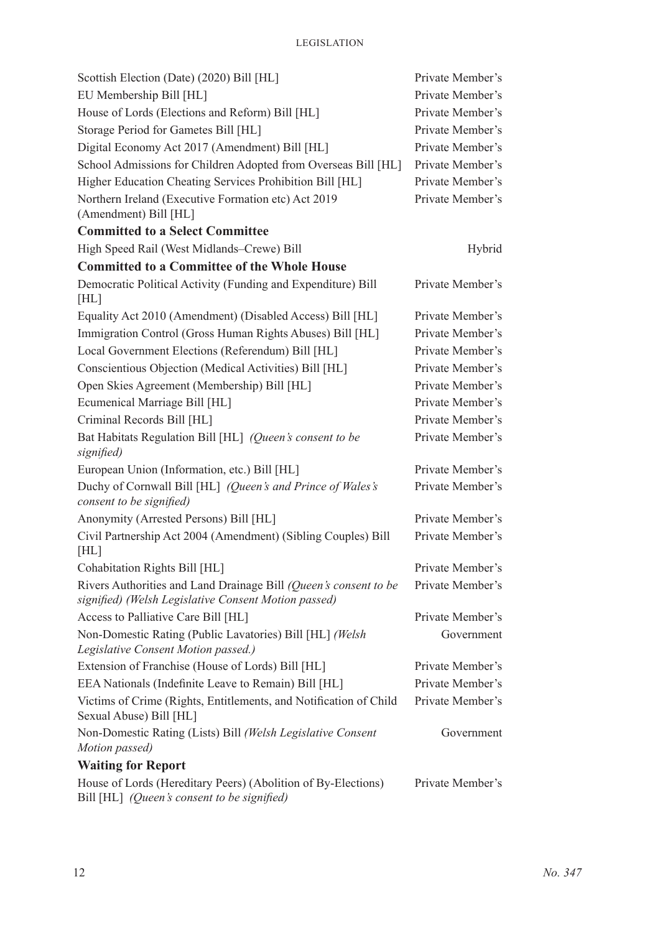| Scottish Election (Date) (2020) Bill [HL]                                                                                | Private Member's |
|--------------------------------------------------------------------------------------------------------------------------|------------------|
| EU Membership Bill [HL]                                                                                                  | Private Member's |
| House of Lords (Elections and Reform) Bill [HL]                                                                          | Private Member's |
| Storage Period for Gametes Bill [HL]                                                                                     | Private Member's |
| Digital Economy Act 2017 (Amendment) Bill [HL]                                                                           | Private Member's |
| School Admissions for Children Adopted from Overseas Bill [HL]                                                           | Private Member's |
| Higher Education Cheating Services Prohibition Bill [HL]                                                                 | Private Member's |
| Northern Ireland (Executive Formation etc) Act 2019<br>(Amendment) Bill [HL]                                             | Private Member's |
| <b>Committed to a Select Committee</b>                                                                                   |                  |
| High Speed Rail (West Midlands–Crewe) Bill                                                                               | Hybrid           |
| <b>Committed to a Committee of the Whole House</b>                                                                       |                  |
| Democratic Political Activity (Funding and Expenditure) Bill<br>[HL]                                                     | Private Member's |
| Equality Act 2010 (Amendment) (Disabled Access) Bill [HL]                                                                | Private Member's |
| Immigration Control (Gross Human Rights Abuses) Bill [HL]                                                                | Private Member's |
| Local Government Elections (Referendum) Bill [HL]                                                                        | Private Member's |
| Conscientious Objection (Medical Activities) Bill [HL]                                                                   | Private Member's |
| Open Skies Agreement (Membership) Bill [HL]                                                                              | Private Member's |
| Ecumenical Marriage Bill [HL]                                                                                            | Private Member's |
| Criminal Records Bill [HL]                                                                                               | Private Member's |
| Bat Habitats Regulation Bill [HL] (Queen's consent to be<br>signified)                                                   | Private Member's |
| European Union (Information, etc.) Bill [HL]                                                                             | Private Member's |
| Duchy of Cornwall Bill [HL] (Queen's and Prince of Wales's<br>consent to be signified)                                   | Private Member's |
| Anonymity (Arrested Persons) Bill [HL]                                                                                   | Private Member's |
| Civil Partnership Act 2004 (Amendment) (Sibling Couples) Bill<br>[HL]                                                    | Private Member's |
| Cohabitation Rights Bill [HL]                                                                                            | Private Member's |
| Rivers Authorities and Land Drainage Bill (Queen's consent to be<br>signified) (Welsh Legislative Consent Motion passed) | Private Member's |
| Access to Palliative Care Bill [HL]                                                                                      | Private Member's |
| Non-Domestic Rating (Public Lavatories) Bill [HL] (Welsh<br>Legislative Consent Motion passed.)                          | Government       |
| Extension of Franchise (House of Lords) Bill [HL]                                                                        | Private Member's |
| EEA Nationals (Indefinite Leave to Remain) Bill [HL]                                                                     | Private Member's |
| Victims of Crime (Rights, Entitlements, and Notification of Child<br>Sexual Abuse) Bill [HL]                             | Private Member's |
| Non-Domestic Rating (Lists) Bill (Welsh Legislative Consent                                                              | Government       |
| Motion passed)                                                                                                           |                  |
| <b>Waiting for Report</b>                                                                                                |                  |
| House of Lords (Hereditary Peers) (Abolition of By-Elections)<br>Bill [HL] (Queen's consent to be signified)             | Private Member's |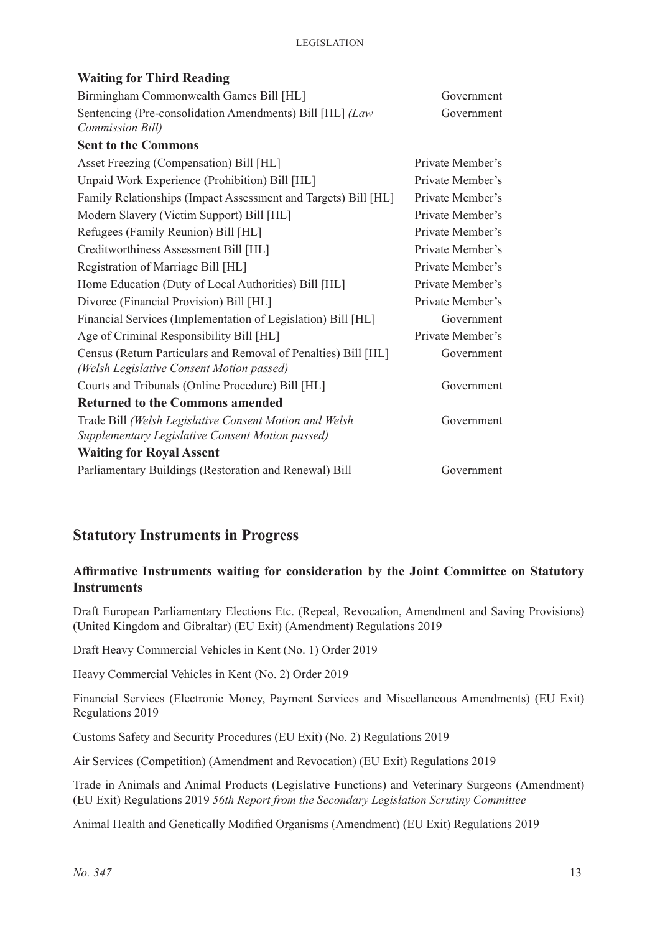| <b>Waiting for Third Reading</b>                                                                            |                  |
|-------------------------------------------------------------------------------------------------------------|------------------|
| Birmingham Commonwealth Games Bill [HL]                                                                     | Government       |
| Sentencing (Pre-consolidation Amendments) Bill [HL] (Law                                                    | Government       |
| Commission Bill)                                                                                            |                  |
| <b>Sent to the Commons</b>                                                                                  |                  |
| Asset Freezing (Compensation) Bill [HL]                                                                     | Private Member's |
| Unpaid Work Experience (Prohibition) Bill [HL]                                                              | Private Member's |
| Family Relationships (Impact Assessment and Targets) Bill [HL]                                              | Private Member's |
| Modern Slavery (Victim Support) Bill [HL]                                                                   | Private Member's |
| Refugees (Family Reunion) Bill [HL]                                                                         | Private Member's |
| Creditworthiness Assessment Bill [HL]                                                                       | Private Member's |
| Registration of Marriage Bill [HL]                                                                          | Private Member's |
| Home Education (Duty of Local Authorities) Bill [HL]                                                        | Private Member's |
| Divorce (Financial Provision) Bill [HL]                                                                     | Private Member's |
| Financial Services (Implementation of Legislation) Bill [HL]                                                | Government       |
| Age of Criminal Responsibility Bill [HL]                                                                    | Private Member's |
| Census (Return Particulars and Removal of Penalties) Bill [HL]<br>(Welsh Legislative Consent Motion passed) | Government       |
| Courts and Tribunals (Online Procedure) Bill [HL]                                                           | Government       |
| <b>Returned to the Commons amended</b>                                                                      |                  |
| Trade Bill (Welsh Legislative Consent Motion and Welsh                                                      | Government       |
| Supplementary Legislative Consent Motion passed)                                                            |                  |
| <b>Waiting for Royal Assent</b>                                                                             |                  |
| Parliamentary Buildings (Restoration and Renewal) Bill                                                      | Government       |

### **Statutory Instruments in Progress**

### **Affirmative Instruments waiting for consideration by the Joint Committee on Statutory Instruments**

Draft European Parliamentary Elections Etc. (Repeal, Revocation, Amendment and Saving Provisions) (United Kingdom and Gibraltar) (EU Exit) (Amendment) Regulations 2019

Draft Heavy Commercial Vehicles in Kent (No. 1) Order 2019

Heavy Commercial Vehicles in Kent (No. 2) Order 2019

Financial Services (Electronic Money, Payment Services and Miscellaneous Amendments) (EU Exit) Regulations 2019

Customs Safety and Security Procedures (EU Exit) (No. 2) Regulations 2019

Air Services (Competition) (Amendment and Revocation) (EU Exit) Regulations 2019

Trade in Animals and Animal Products (Legislative Functions) and Veterinary Surgeons (Amendment) (EU Exit) Regulations 2019 *56th Report from the Secondary Legislation Scrutiny Committee*

Animal Health and Genetically Modified Organisms (Amendment) (EU Exit) Regulations 2019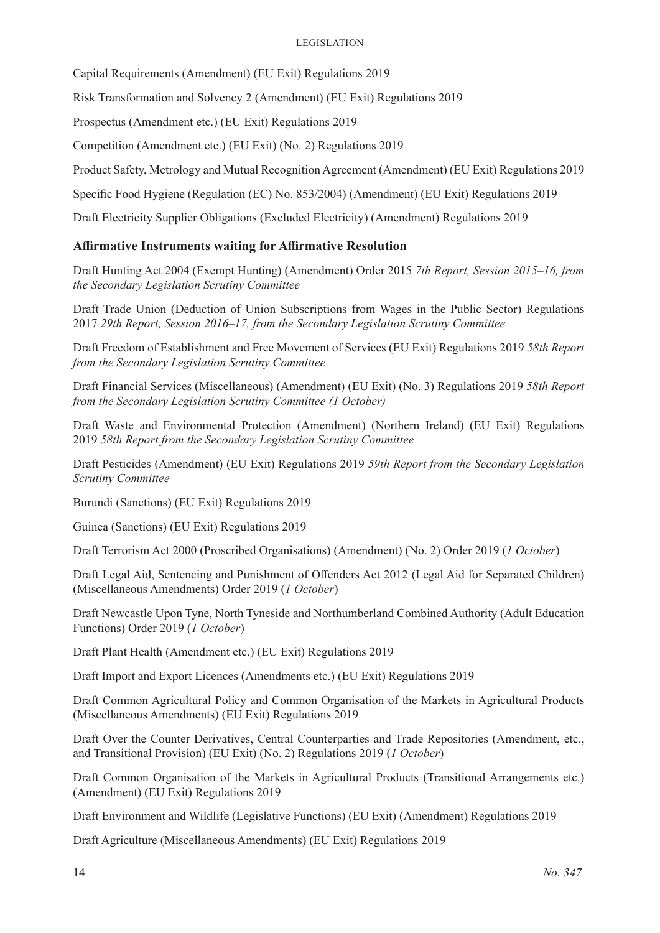Capital Requirements (Amendment) (EU Exit) Regulations 2019

Risk Transformation and Solvency 2 (Amendment) (EU Exit) Regulations 2019

Prospectus (Amendment etc.) (EU Exit) Regulations 2019

Competition (Amendment etc.) (EU Exit) (No. 2) Regulations 2019

Product Safety, Metrology and Mutual Recognition Agreement (Amendment) (EU Exit) Regulations 2019

Specific Food Hygiene (Regulation (EC) No. 853/2004) (Amendment) (EU Exit) Regulations 2019

Draft Electricity Supplier Obligations (Excluded Electricity) (Amendment) Regulations 2019

### **Affirmative Instruments waiting for Affirmative Resolution**

Draft Hunting Act 2004 (Exempt Hunting) (Amendment) Order 2015 *7th Report, Session 2015–16, from the Secondary Legislation Scrutiny Committee*

Draft Trade Union (Deduction of Union Subscriptions from Wages in the Public Sector) Regulations 2017 *29th Report, Session 2016–17, from the Secondary Legislation Scrutiny Committee*

Draft Freedom of Establishment and Free Movement of Services (EU Exit) Regulations 2019 *58th Report from the Secondary Legislation Scrutiny Committee*

Draft Financial Services (Miscellaneous) (Amendment) (EU Exit) (No. 3) Regulations 2019 *58th Report from the Secondary Legislation Scrutiny Committee (1 October)*

Draft Waste and Environmental Protection (Amendment) (Northern Ireland) (EU Exit) Regulations 2019 *58th Report from the Secondary Legislation Scrutiny Committee*

Draft Pesticides (Amendment) (EU Exit) Regulations 2019 *59th Report from the Secondary Legislation Scrutiny Committee*

Burundi (Sanctions) (EU Exit) Regulations 2019

Guinea (Sanctions) (EU Exit) Regulations 2019

Draft Terrorism Act 2000 (Proscribed Organisations) (Amendment) (No. 2) Order 2019 (*1 October*)

Draft Legal Aid, Sentencing and Punishment of Offenders Act 2012 (Legal Aid for Separated Children) (Miscellaneous Amendments) Order 2019 (*1 October*)

Draft Newcastle Upon Tyne, North Tyneside and Northumberland Combined Authority (Adult Education Functions) Order 2019 (*1 October*)

Draft Plant Health (Amendment etc.) (EU Exit) Regulations 2019

Draft Import and Export Licences (Amendments etc.) (EU Exit) Regulations 2019

Draft Common Agricultural Policy and Common Organisation of the Markets in Agricultural Products (Miscellaneous Amendments) (EU Exit) Regulations 2019

Draft Over the Counter Derivatives, Central Counterparties and Trade Repositories (Amendment, etc., and Transitional Provision) (EU Exit) (No. 2) Regulations 2019 (*1 October*)

Draft Common Organisation of the Markets in Agricultural Products (Transitional Arrangements etc.) (Amendment) (EU Exit) Regulations 2019

Draft Environment and Wildlife (Legislative Functions) (EU Exit) (Amendment) Regulations 2019

Draft Agriculture (Miscellaneous Amendments) (EU Exit) Regulations 2019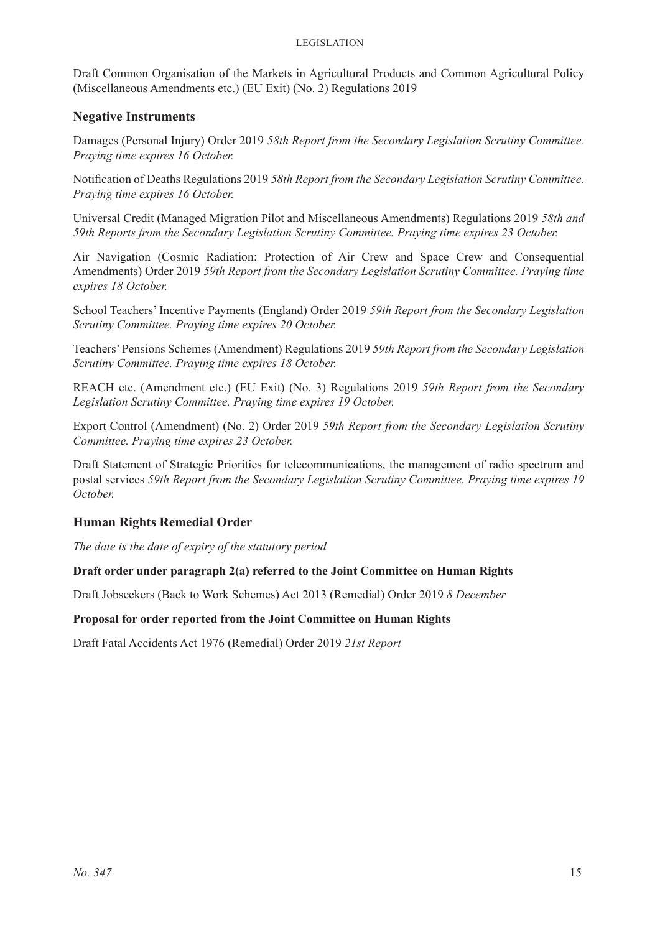#### Legislation

Draft Common Organisation of the Markets in Agricultural Products and Common Agricultural Policy (Miscellaneous Amendments etc.) (EU Exit) (No. 2) Regulations 2019

#### **Negative Instruments**

Damages (Personal Injury) Order 2019 *58th Report from the Secondary Legislation Scrutiny Committee. Praying time expires 16 October.* 

Notification of Deaths Regulations 2019 *58th Report from the Secondary Legislation Scrutiny Committee. Praying time expires 16 October.* 

Universal Credit (Managed Migration Pilot and Miscellaneous Amendments) Regulations 2019 *58th and 59th Reports from the Secondary Legislation Scrutiny Committee. Praying time expires 23 October.* 

Air Navigation (Cosmic Radiation: Protection of Air Crew and Space Crew and Consequential Amendments) Order 2019 *59th Report from the Secondary Legislation Scrutiny Committee. Praying time expires 18 October.* 

School Teachers' Incentive Payments (England) Order 2019 *59th Report from the Secondary Legislation Scrutiny Committee. Praying time expires 20 October.* 

Teachers' Pensions Schemes (Amendment) Regulations 2019 *59th Report from the Secondary Legislation Scrutiny Committee. Praying time expires 18 October.* 

REACH etc. (Amendment etc.) (EU Exit) (No. 3) Regulations 2019 *59th Report from the Secondary Legislation Scrutiny Committee. Praying time expires 19 October.* 

Export Control (Amendment) (No. 2) Order 2019 *59th Report from the Secondary Legislation Scrutiny Committee. Praying time expires 23 October.* 

Draft Statement of Strategic Priorities for telecommunications, the management of radio spectrum and postal services *59th Report from the Secondary Legislation Scrutiny Committee. Praying time expires 19 October.* 

### **Human Rights Remedial Order**

*The date is the date of expiry of the statutory period*

#### **Draft order under paragraph 2(a) referred to the Joint Committee on Human Rights**

Draft Jobseekers (Back to Work Schemes) Act 2013 (Remedial) Order 2019 *8 December*

#### **Proposal for order reported from the Joint Committee on Human Rights**

Draft Fatal Accidents Act 1976 (Remedial) Order 2019 *21st Report*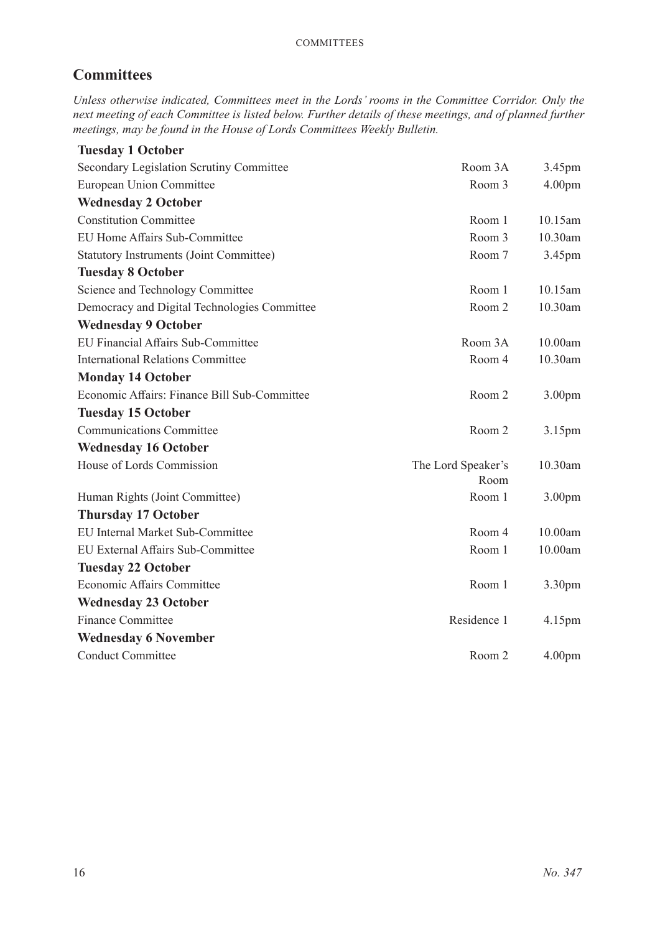### **Committees**

*Unless otherwise indicated, Committees meet in the Lords' rooms in the Committee Corridor. Only the next meeting of each Committee is listed below. Further details of these meetings, and of planned further meetings, may be found in the House of Lords Committees Weekly Bulletin.*

| <b>Tuesday 1 October</b>                       |                            |                    |
|------------------------------------------------|----------------------------|--------------------|
| Secondary Legislation Scrutiny Committee       | Room 3A                    | 3.45pm             |
| European Union Committee                       | Room 3                     | 4.00 <sub>pm</sub> |
| <b>Wednesday 2 October</b>                     |                            |                    |
| <b>Constitution Committee</b>                  | Room 1                     | $10.15$ am         |
| EU Home Affairs Sub-Committee                  | Room 3                     | 10.30am            |
| <b>Statutory Instruments (Joint Committee)</b> | Room 7                     | 3.45pm             |
| <b>Tuesday 8 October</b>                       |                            |                    |
| Science and Technology Committee               | Room 1                     | 10.15am            |
| Democracy and Digital Technologies Committee   | Room 2                     | 10.30am            |
| <b>Wednesday 9 October</b>                     |                            |                    |
| <b>EU Financial Affairs Sub-Committee</b>      | Room 3A                    | 10.00am            |
| <b>International Relations Committee</b>       | Room 4                     | $10.30$ am         |
| <b>Monday 14 October</b>                       |                            |                    |
| Economic Affairs: Finance Bill Sub-Committee   | Room 2                     | 3.00 <sub>pm</sub> |
| <b>Tuesday 15 October</b>                      |                            |                    |
| <b>Communications Committee</b>                | Room 2                     | 3.15pm             |
| <b>Wednesday 16 October</b>                    |                            |                    |
| House of Lords Commission                      | The Lord Speaker's<br>Room | 10.30am            |
| Human Rights (Joint Committee)                 | Room 1                     | 3.00 <sub>pm</sub> |
| <b>Thursday 17 October</b>                     |                            |                    |
| <b>EU</b> Internal Market Sub-Committee        | Room 4                     | 10.00am            |
| EU External Affairs Sub-Committee              | Room 1                     | 10.00am            |
| <b>Tuesday 22 October</b>                      |                            |                    |
| Economic Affairs Committee                     | Room 1                     | 3.30 <sub>pm</sub> |
| <b>Wednesday 23 October</b>                    |                            |                    |
| <b>Finance Committee</b>                       | Residence 1                | 4.15 <sub>pm</sub> |
| <b>Wednesday 6 November</b>                    |                            |                    |
| <b>Conduct Committee</b>                       | Room 2                     | 4.00 <sub>pm</sub> |
|                                                |                            |                    |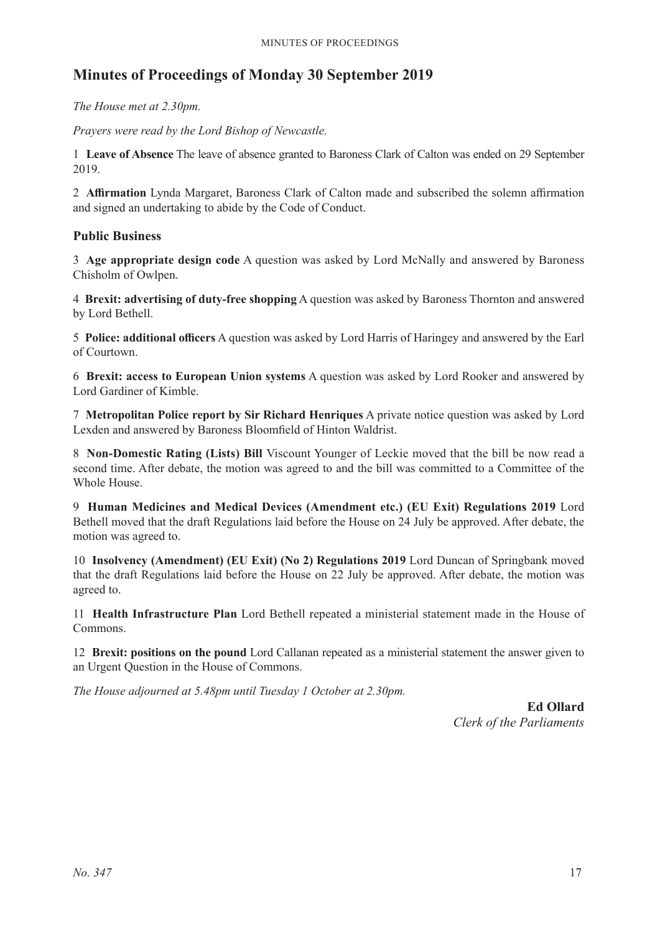### **Minutes of Proceedings of Monday 30 September 2019**

*The House met at 2.30pm.*

*Prayers were read by the Lord Bishop of Newcastle.*

1 **Leave of Absence** The leave of absence granted to Baroness Clark of Calton was ended on 29 September 2019.

2 **Affirmation** Lynda Margaret, Baroness Clark of Calton made and subscribed the solemn affirmation and signed an undertaking to abide by the Code of Conduct.

### **Public Business**

3 **Age appropriate design code** A question was asked by Lord McNally and answered by Baroness Chisholm of Owlpen.

4 **Brexit: advertising of duty-free shopping** A question was asked by Baroness Thornton and answered by Lord Bethell.

5 **Police: additional officers** A question was asked by Lord Harris of Haringey and answered by the Earl of Courtown.

6 **Brexit: access to European Union systems** A question was asked by Lord Rooker and answered by Lord Gardiner of Kimble.

7 **Metropolitan Police report by Sir Richard Henriques** A private notice question was asked by Lord Lexden and answered by Baroness Bloomfield of Hinton Waldrist.

8 **Non-Domestic Rating (Lists) Bill** Viscount Younger of Leckie moved that the bill be now read a second time. After debate, the motion was agreed to and the bill was committed to a Committee of the Whole House.

9 **Human Medicines and Medical Devices (Amendment etc.) (EU Exit) Regulations 2019** Lord Bethell moved that the draft Regulations laid before the House on 24 July be approved. After debate, the motion was agreed to.

10 **Insolvency (Amendment) (EU Exit) (No 2) Regulations 2019** Lord Duncan of Springbank moved that the draft Regulations laid before the House on 22 July be approved. After debate, the motion was agreed to.

11 **Health Infrastructure Plan** Lord Bethell repeated a ministerial statement made in the House of Commons.

12 **Brexit: positions on the pound** Lord Callanan repeated as a ministerial statement the answer given to an Urgent Question in the House of Commons.

*The House adjourned at 5.48pm until Tuesday 1 October at 2.30pm.*

**Ed Ollard** *Clerk of the Parliaments*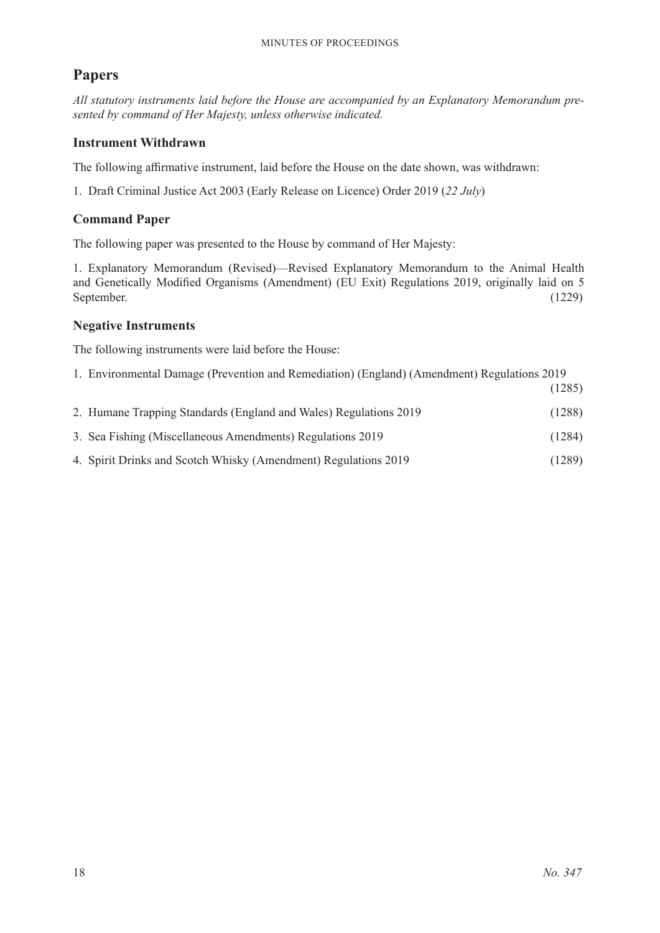### **Papers**

*All statutory instruments laid before the House are accompanied by an Explanatory Memorandum presented by command of Her Majesty, unless otherwise indicated.*

### **Instrument Withdrawn**

The following affirmative instrument, laid before the House on the date shown, was withdrawn:

1. Draft Criminal Justice Act 2003 (Early Release on Licence) Order 2019 (*22 July*)

#### **Command Paper**

The following paper was presented to the House by command of Her Majesty:

1. Explanatory Memorandum (Revised)—Revised Explanatory Memorandum to the Animal Health and Genetically Modified Organisms (Amendment) (EU Exit) Regulations 2019, originally laid on 5 September. (1229)

### **Negative Instruments**

The following instruments were laid before the House:

1. Environmental Damage (Prevention and Remediation) (England) (Amendment) Regulations 2019 (1285)

|                                                                   | $\sqrt{1 - \omega}$ |
|-------------------------------------------------------------------|---------------------|
| 2. Humane Trapping Standards (England and Wales) Regulations 2019 | (1288)              |
| 3. Sea Fishing (Miscellaneous Amendments) Regulations 2019        | (1284)              |
| 4. Spirit Drinks and Scotch Whisky (Amendment) Regulations 2019   | (1289)              |